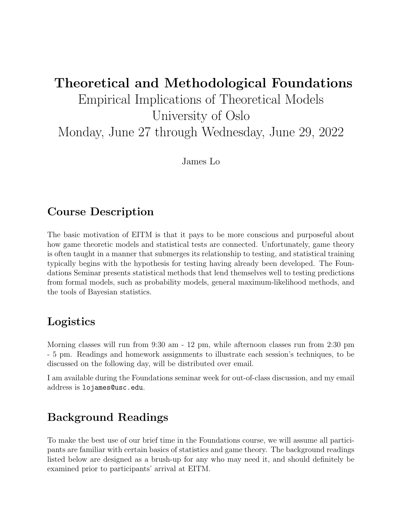# Theoretical and Methodological Foundations Empirical Implications of Theoretical Models University of Oslo Monday, June 27 through Wednesday, June 29, 2022

James Lo

# Course Description

The basic motivation of EITM is that it pays to be more conscious and purposeful about how game theoretic models and statistical tests are connected. Unfortunately, game theory is often taught in a manner that submerges its relationship to testing, and statistical training typically begins with the hypothesis for testing having already been developed. The Foundations Seminar presents statistical methods that lend themselves well to testing predictions from formal models, such as probability models, general maximum-likelihood methods, and the tools of Bayesian statistics.

# Logistics

Morning classes will run from 9:30 am - 12 pm, while afternoon classes run from 2:30 pm - 5 pm. Readings and homework assignments to illustrate each session's techniques, to be discussed on the following day, will be distributed over email.

I am available during the Foundations seminar week for out-of-class discussion, and my email address is lojames@usc.edu.

# Background Readings

To make the best use of our brief time in the Foundations course, we will assume all participants are familiar with certain basics of statistics and game theory. The background readings listed below are designed as a brush-up for any who may need it, and should definitely be examined prior to participants' arrival at EITM.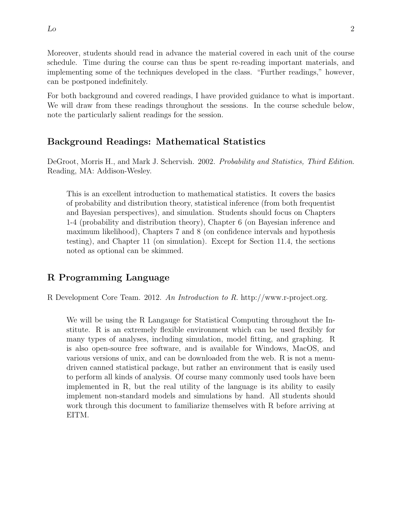Moreover, students should read in advance the material covered in each unit of the course schedule. Time during the course can thus be spent re-reading important materials, and implementing some of the techniques developed in the class. "Further readings," however, can be postponed indefinitely.

For both background and covered readings, I have provided guidance to what is important. We will draw from these readings throughout the sessions. In the course schedule below, note the particularly salient readings for the session.

### Background Readings: Mathematical Statistics

DeGroot, Morris H., and Mark J. Schervish. 2002. Probability and Statistics, Third Edition. Reading, MA: Addison-Wesley.

This is an excellent introduction to mathematical statistics. It covers the basics of probability and distribution theory, statistical inference (from both frequentist and Bayesian perspectives), and simulation. Students should focus on Chapters 1-4 (probability and distribution theory), Chapter 6 (on Bayesian inference and maximum likelihood), Chapters 7 and 8 (on confidence intervals and hypothesis testing), and Chapter 11 (on simulation). Except for Section 11.4, the sections noted as optional can be skimmed.

## R Programming Language

R Development Core Team. 2012. An Introduction to R. http://www.r-project.org.

We will be using the R Langauge for Statistical Computing throughout the Institute. R is an extremely flexible environment which can be used flexibly for many types of analyses, including simulation, model fitting, and graphing. R is also open-source free software, and is available for Windows, MacOS, and various versions of unix, and can be downloaded from the web. R is not a menudriven canned statistical package, but rather an environment that is easily used to perform all kinds of analysis. Of course many commonly used tools have been implemented in R, but the real utility of the language is its ability to easily implement non-standard models and simulations by hand. All students should work through this document to familiarize themselves with R before arriving at EITM.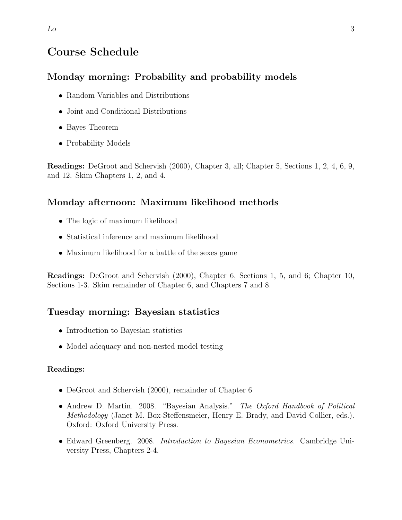# Course Schedule

### Monday morning: Probability and probability models

- Random Variables and Distributions
- Joint and Conditional Distributions
- Bayes Theorem
- Probability Models

Readings: DeGroot and Schervish (2000), Chapter 3, all; Chapter 5, Sections 1, 2, 4, 6, 9, and 12. Skim Chapters 1, 2, and 4.

#### Monday afternoon: Maximum likelihood methods

- The logic of maximum likelihood
- Statistical inference and maximum likelihood
- Maximum likelihood for a battle of the sexes game

Readings: DeGroot and Schervish (2000), Chapter 6, Sections 1, 5, and 6; Chapter 10, Sections 1-3. Skim remainder of Chapter 6, and Chapters 7 and 8.

#### Tuesday morning: Bayesian statistics

- Introduction to Bayesian statistics
- Model adequacy and non-nested model testing

#### Readings:

- DeGroot and Schervish (2000), remainder of Chapter 6
- Andrew D. Martin. 2008. "Bayesian Analysis." The Oxford Handbook of Political Methodology (Janet M. Box-Steffensmeier, Henry E. Brady, and David Collier, eds.). Oxford: Oxford University Press.
- Edward Greenberg. 2008. *Introduction to Bayesian Econometrics*. Cambridge University Press, Chapters 2-4.